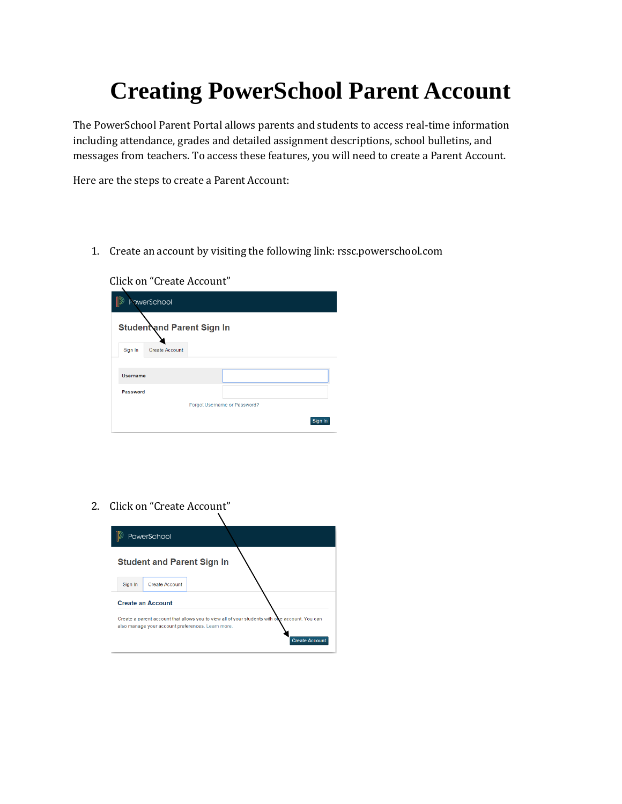## **Creating PowerSchool Parent Account**

The PowerSchool Parent Portal allows parents and students to access real-time information including attendance, grades and detailed assignment descriptions, school bulletins, and messages from teachers. To access these features, you will need to create a Parent Account.

Here are the steps to create a Parent Account:

1. Create an account by visiting the following link: rssc.powerschool.com

Click on "Create Account"

|                 | PowerSchool                       |                              |         |
|-----------------|-----------------------------------|------------------------------|---------|
|                 | <b>Student and Parent Sign In</b> |                              |         |
| Sign In         | <b>Create Account</b>             |                              |         |
|                 |                                   |                              |         |
| <b>Username</b> |                                   |                              |         |
| Password        |                                   |                              |         |
|                 |                                   | Forgot Username or Password? |         |
|                 |                                   |                              | Sign In |

2. Click on "Create Account"